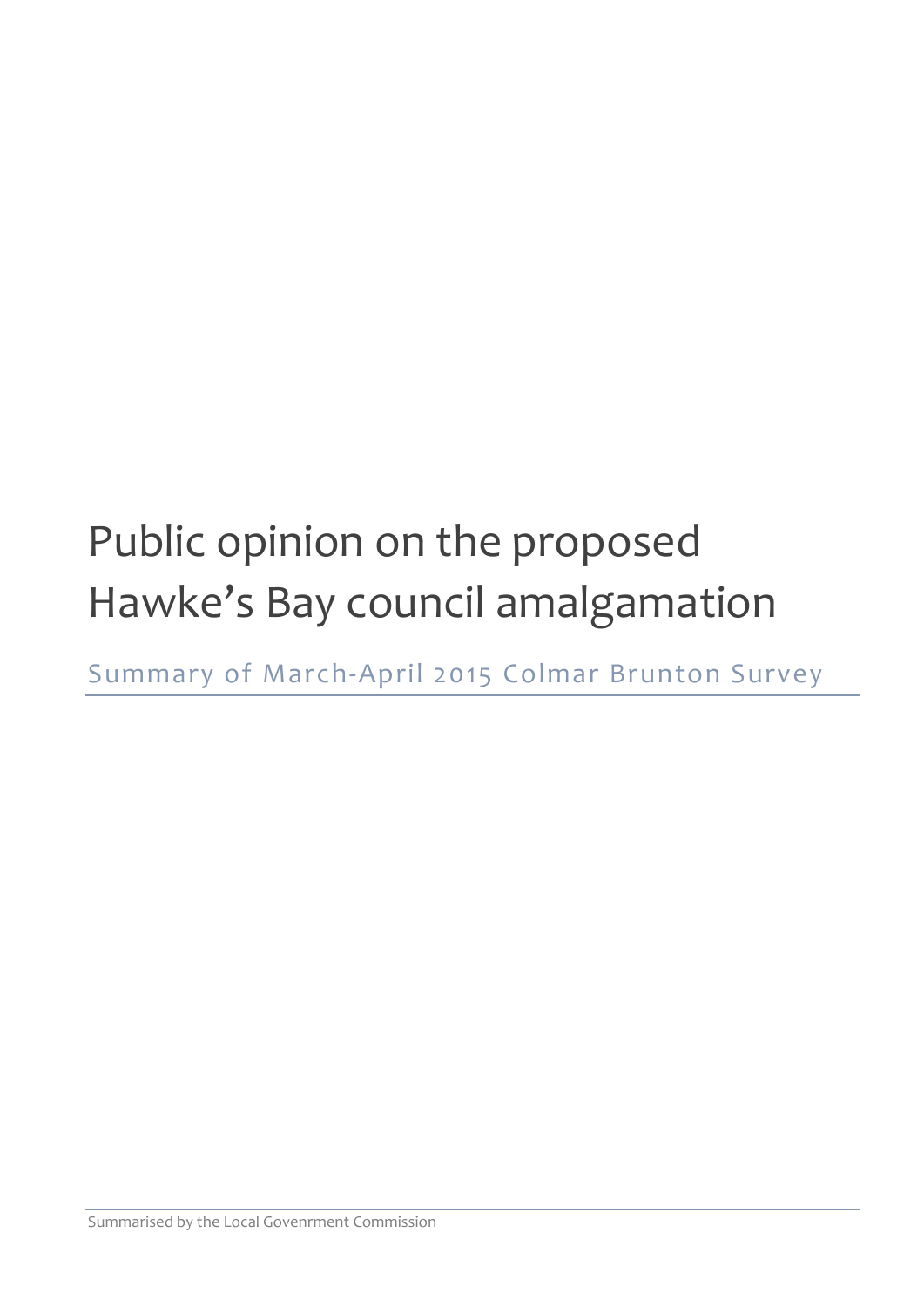# Public opinion on the proposed Hawke's Bay council amalgamation

Summary of March-April 2015 Colmar Brunton Survey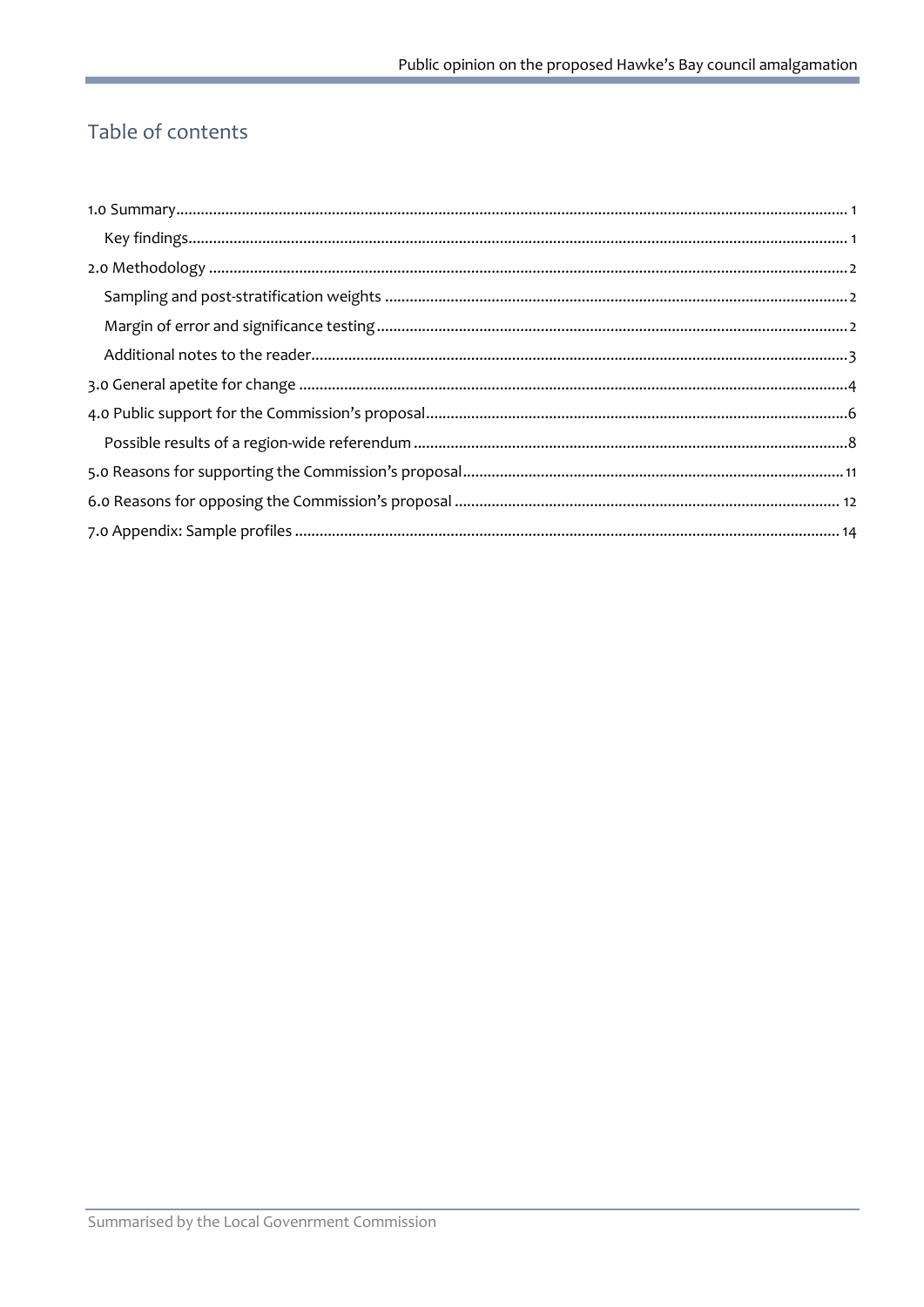## Table of contents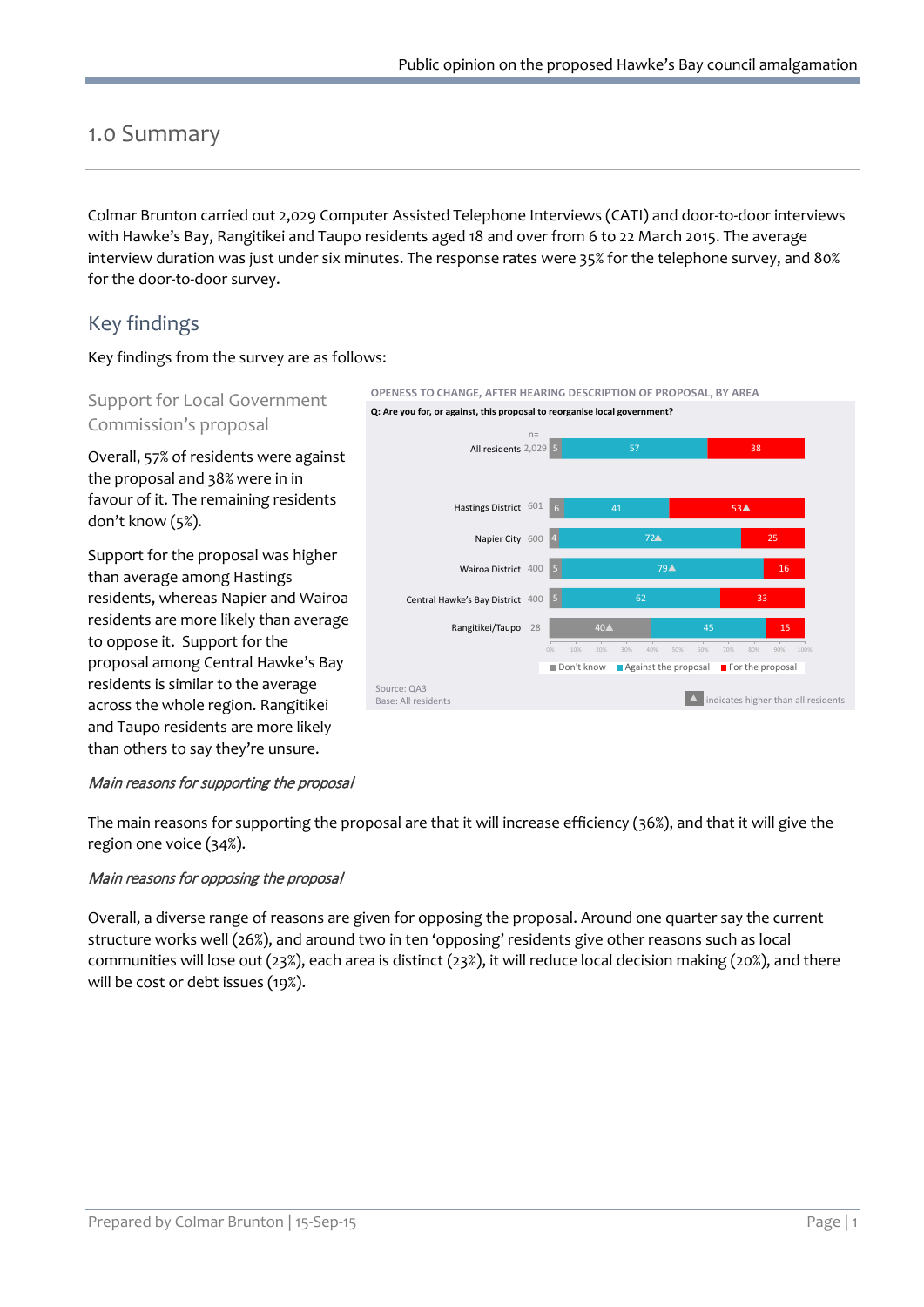## <span id="page-2-0"></span>1.0 Summary

Colmar Brunton carried out 2,029 Computer Assisted Telephone Interviews (CATI) and door-to-door interviews with Hawke's Bay, Rangitikei and Taupo residents aged 18 and over from 6 to 22 March 2015. The average interview duration was just under six minutes. The response rates were 35% for the telephone survey, and 80% for the door-to-door survey.

## <span id="page-2-1"></span>Key findings

Key findings from the survey are as follows:

#### Support for Local Government Commission's proposal

Overall, 57% of residents were against the proposal and 38% were in in favour of it. The remaining residents don't know (5%).

Support for the proposal was higher than average among Hastings residents, whereas Napier and Wairoa residents are more likely than average to oppose it. Support for the proposal among Central Hawke's Bay residents is similar to the average across the whole region. Rangitikei and Taupo residents are more likely than others to say they're unsure.



#### Main reasons for supporting the proposal

The main reasons for supporting the proposal are that it will increase efficiency (36%), and that it will give the region one voice (34%).

#### Main reasons for opposing the proposal

Overall, a diverse range of reasons are given for opposing the proposal. Around one quarter say the current structure works well (26%), and around two in ten 'opposing' residents give other reasons such as local communities will lose out (23%), each area is distinct (23%), it will reduce local decision making (20%), and there will be cost or debt issues (19%).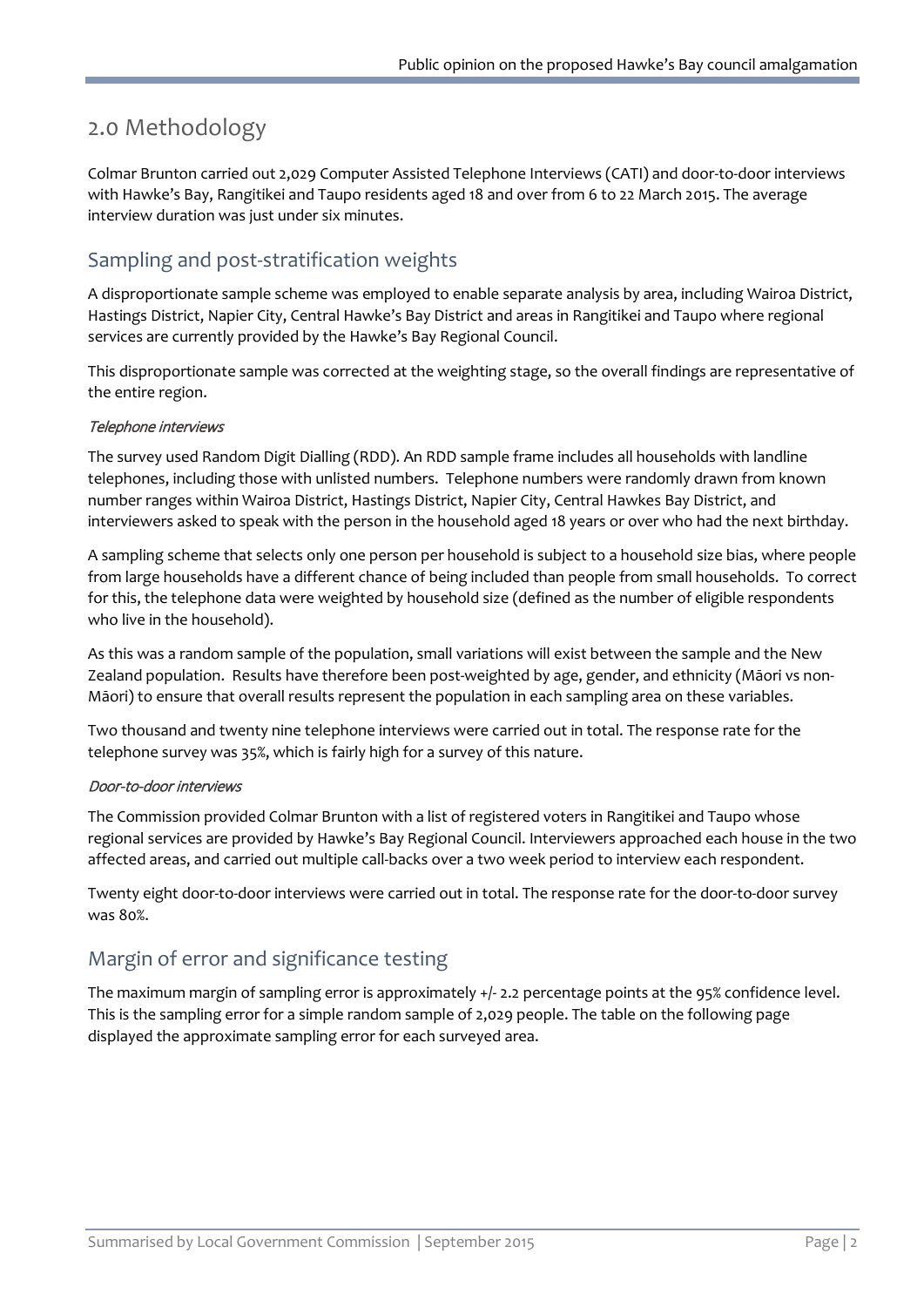## <span id="page-3-0"></span>2.0 Methodology

Colmar Brunton carried out 2,029 Computer Assisted Telephone Interviews (CATI) and door-to-door interviews with Hawke's Bay, Rangitikei and Taupo residents aged 18 and over from 6 to 22 March 2015. The average interview duration was just under six minutes.

## <span id="page-3-1"></span>Sampling and post-stratification weights

A disproportionate sample scheme was employed to enable separate analysis by area, including Wairoa District, Hastings District, Napier City, Central Hawke's Bay District and areas in Rangitikei and Taupo where regional services are currently provided by the Hawke's Bay Regional Council.

This disproportionate sample was corrected at the weighting stage, so the overall findings are representative of the entire region.

#### Telephone interviews

The survey used Random Digit Dialling (RDD). An RDD sample frame includes all households with landline telephones, including those with unlisted numbers. Telephone numbers were randomly drawn from known number ranges within Wairoa District, Hastings District, Napier City, Central Hawkes Bay District, and interviewers asked to speak with the person in the household aged 18 years or over who had the next birthday.

A sampling scheme that selects only one person per household is subject to a household size bias, where people from large households have a different chance of being included than people from small households. To correct for this, the telephone data were weighted by household size (defined as the number of eligible respondents who live in the household).

As this was a random sample of the population, small variations will exist between the sample and the New Zealand population. Results have therefore been post-weighted by age, gender, and ethnicity (Māori vs non-Māori) to ensure that overall results represent the population in each sampling area on these variables.

Two thousand and twenty nine telephone interviews were carried out in total. The response rate for the telephone survey was 35%, which is fairly high for a survey of this nature.

#### Door-to-door interviews

The Commission provided Colmar Brunton with a list of registered voters in Rangitikei and Taupo whose regional services are provided by Hawke's Bay Regional Council. Interviewers approached each house in the two affected areas, and carried out multiple call-backs over a two week period to interview each respondent.

Twenty eight door-to-door interviews were carried out in total. The response rate for the door-to-door survey was 80%.

## <span id="page-3-2"></span>Margin of error and significance testing

The maximum margin of sampling error is approximately +/- 2.2 percentage points at the 95% confidence level. This is the sampling error for a simple random sample of 2,029 people. The table on the following page displayed the approximate sampling error for each surveyed area.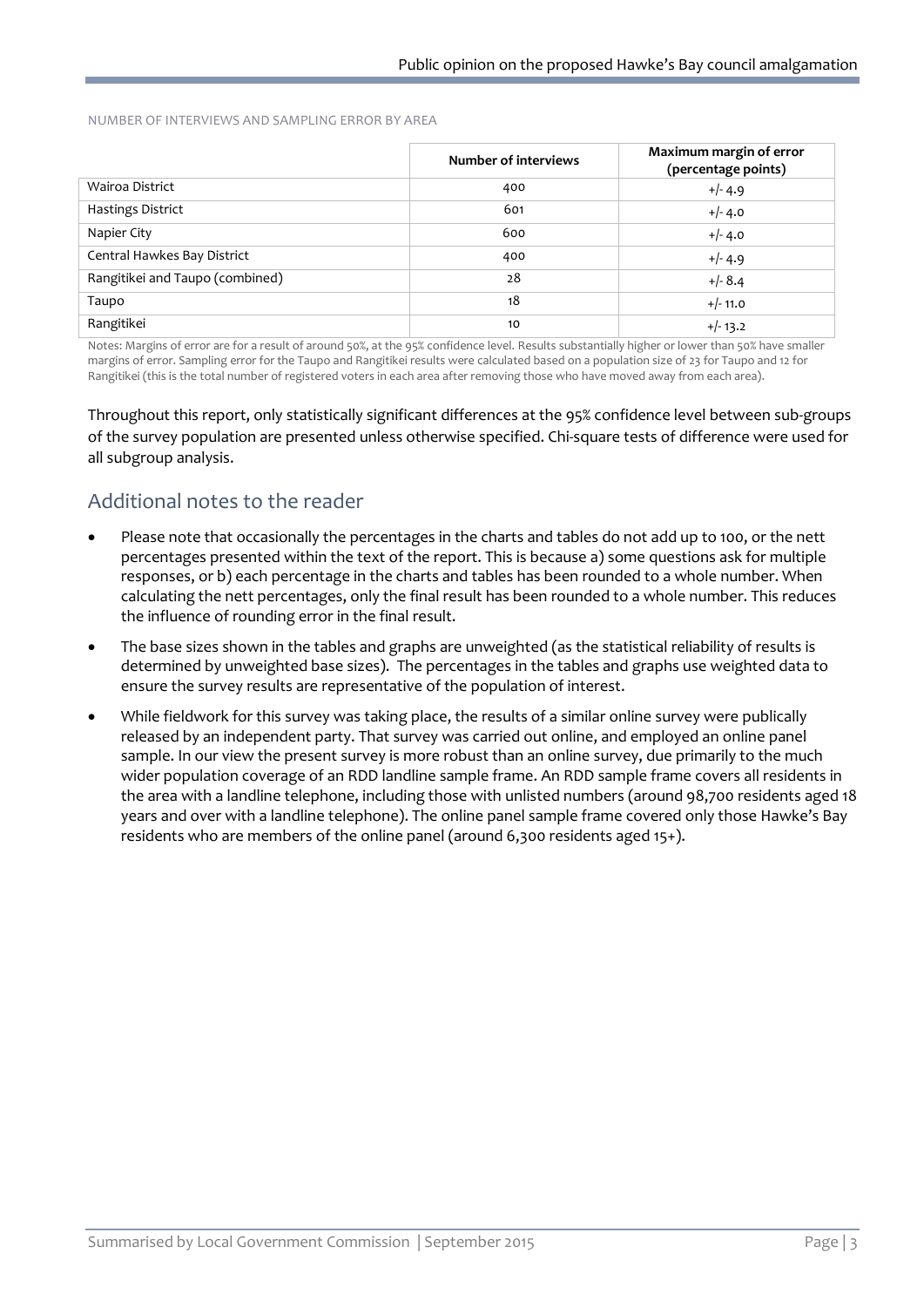NUMBER OF INTERVIEWS AND SAMPLING ERROR BY AREA

|                                 | Number of interviews | Maximum margin of error<br>(percentage points) |
|---------------------------------|----------------------|------------------------------------------------|
| Wairoa District                 | 400                  | $+/- 4.9$                                      |
| Hastings District               | 601                  | $+/- 4.0$                                      |
| Napier City                     | 600                  | $+/- 4.0$                                      |
| Central Hawkes Bay District     | 400                  | $+/- 4.9$                                      |
| Rangitikei and Taupo (combined) | 28                   | $+/- 8.4$                                      |
| Taupo                           | 18                   | $+/- 11.0$                                     |
| Rangitikei                      | 10                   | $+/- 13.2$                                     |

Notes: Margins of error are for a result of around 50%, at the 95% confidence level. Results substantially higher or lower than 50% have smaller margins of error. Sampling error for the Taupo and Rangitikei results were calculated based on a population size of 23 for Taupo and 12 for Rangitikei (this is the total number of registered voters in each area after removing those who have moved away from each area).

Throughout this report, only statistically significant differences at the 95% confidence level between sub-groups of the survey population are presented unless otherwise specified. Chi-square tests of difference were used for all subgroup analysis.

## <span id="page-4-0"></span>Additional notes to the reader

- Please note that occasionally the percentages in the charts and tables do not add up to 100, or the nett percentages presented within the text of the report. This is because a) some questions ask for multiple responses, or b) each percentage in the charts and tables has been rounded to a whole number. When calculating the nett percentages, only the final result has been rounded to a whole number. This reduces the influence of rounding error in the final result.
- The base sizes shown in the tables and graphs are unweighted (as the statistical reliability of results is determined by unweighted base sizes). The percentages in the tables and graphs use weighted data to ensure the survey results are representative of the population of interest.
- While fieldwork for this survey was taking place, the results of a similar online survey were publically released by an independent party. That survey was carried out online, and employed an online panel sample. In our view the present survey is more robust than an online survey, due primarily to the much wider population coverage of an RDD landline sample frame. An RDD sample frame covers all residents in the area with a landline telephone, including those with unlisted numbers (around 98,700 residents aged 18 years and over with a landline telephone). The online panel sample frame covered only those Hawke's Bay residents who are members of the online panel (around 6,300 residents aged 15+).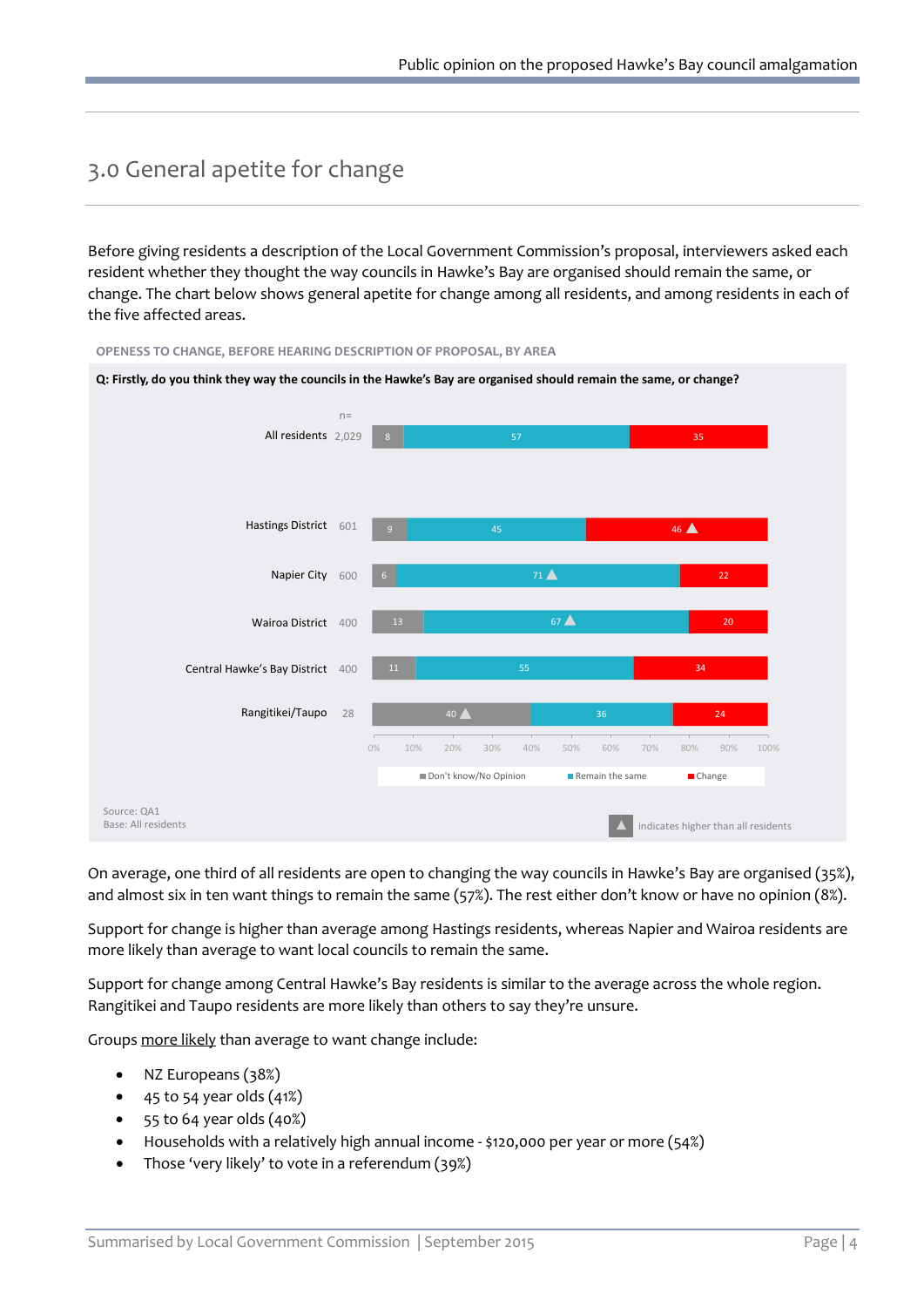## <span id="page-5-0"></span>3.0 General apetite for change

Before giving residents a description of the Local Government Commission's proposal, interviewers asked each resident whether they thought the way councils in Hawke's Bay are organised should remain the same, or change. The chart below shows general apetite for change among all residents, and among residents in each of the five affected areas.



On average, one third of all residents are open to changing the way councils in Hawke's Bay are organised (35%), and almost six in ten want things to remain the same (57%). The rest either don't know or have no opinion (8%).

Support for change is higher than average among Hastings residents, whereas Napier and Wairoa residents are more likely than average to want local councils to remain the same.

Support for change among Central Hawke's Bay residents is similar to the average across the whole region. Rangitikei and Taupo residents are more likely than others to say they're unsure.

Groups more likely than average to want change include:

- NZ Europeans (38%)
- 45 to 54 year olds (41%)
- 55 to 64 year olds (40%)
- Households with a relatively high annual income \$120,000 per year or more (54%)
- Those 'very likely' to vote in a referendum (39%)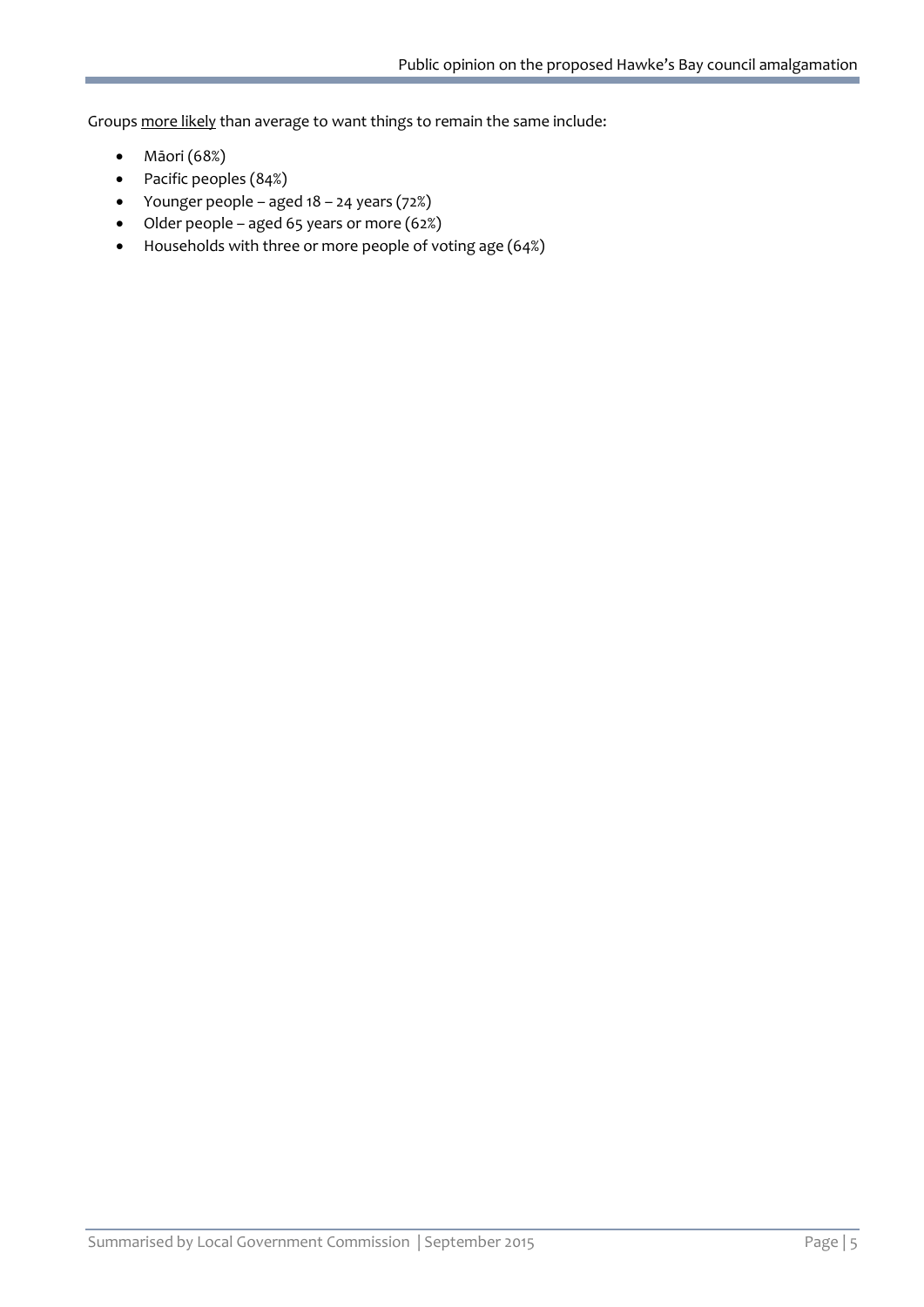Groups more likely than average to want things to remain the same include:

- Māori (68%)
- Pacific peoples (84%)
- Younger people aged 18 24 years (72%)
- Older people aged 65 years or more (62%)
- Households with three or more people of voting age (64%)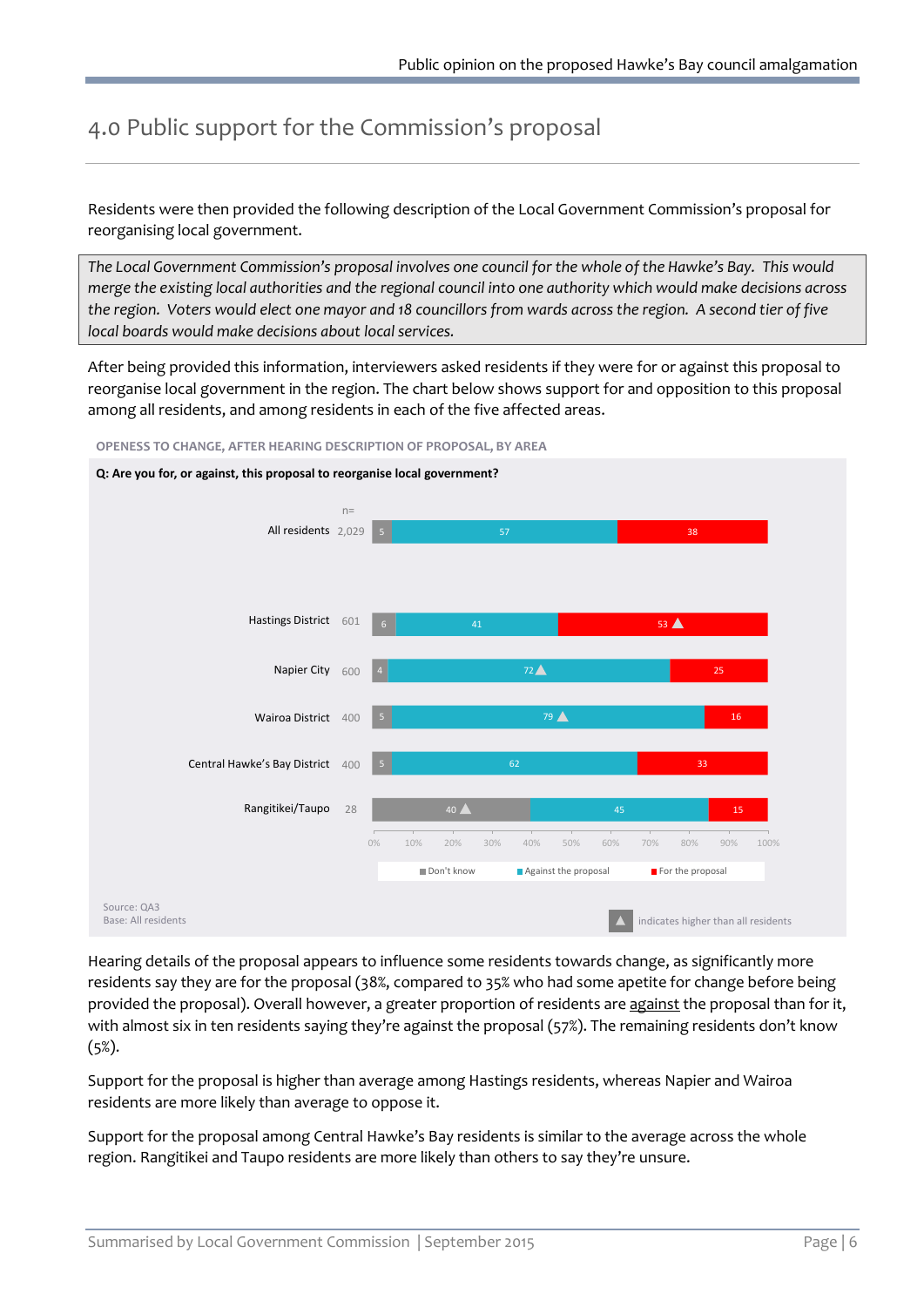# <span id="page-7-0"></span>4.0 Public support for the Commission's proposal

Residents were then provided the following description of the Local Government Commission's proposal for reorganising local government.

*The Local Government Commission's proposal involves one council for the whole of the Hawke's Bay. This would merge the existing local authorities and the regional council into one authority which would make decisions across the region. Voters would elect one mayor and 18 councillors from wards across the region. A second tier of five local boards would make decisions about local services.*

After being provided this information, interviewers asked residents if they were for or against this proposal to reorganise local government in the region. The chart below shows support for and opposition to this proposal among all residents, and among residents in each of the five affected areas.



**OPENESS TO CHANGE, AFTER HEARING DESCRIPTION OF PROPOSAL, BY AREA**

Hearing details of the proposal appears to influence some residents towards change, as significantly more residents say they are for the proposal (38%, compared to 35% who had some apetite for change before being provided the proposal). Overall however, a greater proportion of residents are against the proposal than for it, with almost six in ten residents saying they're against the proposal (57%). The remaining residents don't know (5%).

Support for the proposal is higher than average among Hastings residents, whereas Napier and Wairoa residents are more likely than average to oppose it.

Support for the proposal among Central Hawke's Bay residents is similar to the average across the whole region. Rangitikei and Taupo residents are more likely than others to say they're unsure.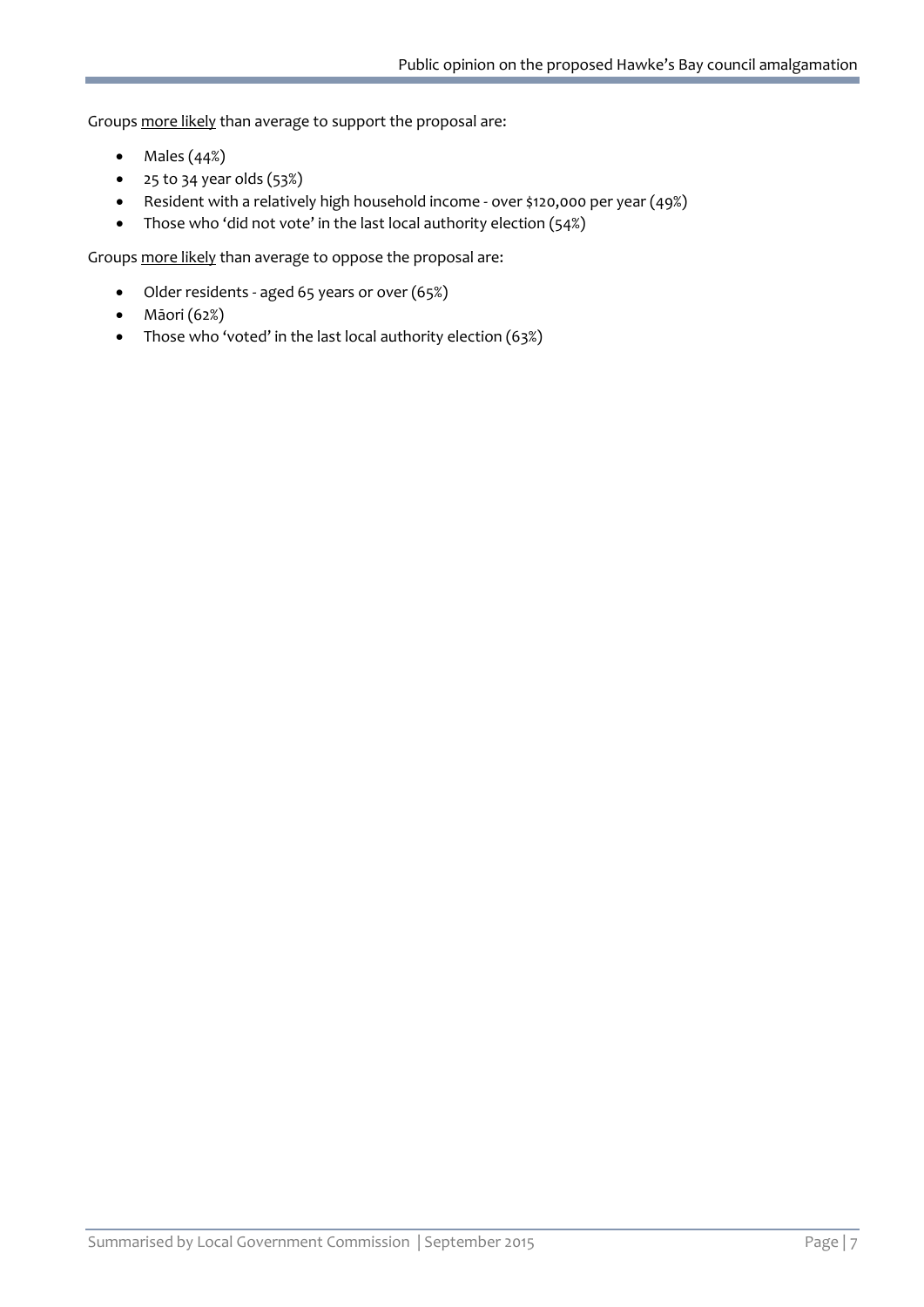Groups more likely than average to support the proposal are:

- $\bullet$  Males  $(44%)$
- 25 to 34 year olds (53%)
- Resident with a relatively high household income over \$120,000 per year (49%)
- Those who 'did not vote' in the last local authority election (54%)

Groups more likely than average to oppose the proposal are:

- Older residents aged 65 years or over (65%)
- Māori (62%)
- Those who 'voted' in the last local authority election (63%)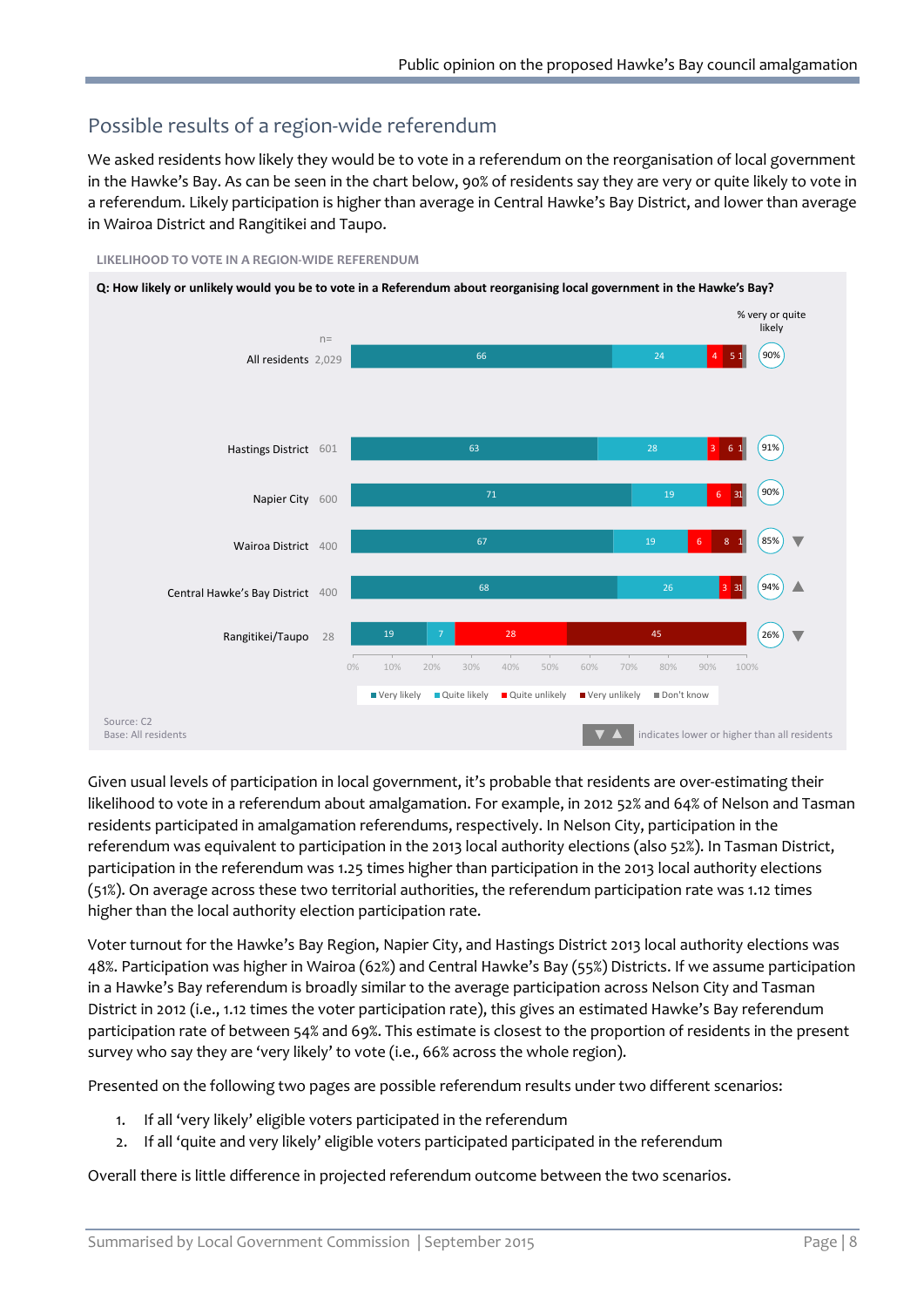## <span id="page-9-0"></span>Possible results of a region-wide referendum

We asked residents how likely they would be to vote in a referendum on the reorganisation of local government in the Hawke's Bay. As can be seen in the chart below, 90% of residents say they are very or quite likely to vote in a referendum. Likely participation is higher than average in Central Hawke's Bay District, and lower than average in Wairoa District and Rangitikei and Taupo.



**LIKELIHOOD TO VOTE IN A REGION-WIDE REFERENDUM**

Given usual levels of participation in local government, it's probable that residents are over-estimating their likelihood to vote in a referendum about amalgamation. For example, in 2012 52% and 64% of Nelson and Tasman residents participated in amalgamation referendums, respectively. In Nelson City, participation in the referendum was equivalent to participation in the 2013 local authority elections (also 52%). In Tasman District, participation in the referendum was 1.25 times higher than participation in the 2013 local authority elections (51%). On average across these two territorial authorities, the referendum participation rate was 1.12 times higher than the local authority election participation rate.

Voter turnout for the Hawke's Bay Region, Napier City, and Hastings District 2013 local authority elections was 48%. Participation was higher in Wairoa (62%) and Central Hawke's Bay (55%) Districts. If we assume participation in a Hawke's Bay referendum is broadly similar to the average participation across Nelson City and Tasman District in 2012 (i.e., 1.12 times the voter participation rate), this gives an estimated Hawke's Bay referendum participation rate of between 54% and 69%. This estimate is closest to the proportion of residents in the present survey who say they are 'very likely' to vote (i.e., 66% across the whole region).

Presented on the following two pages are possible referendum results under two different scenarios:

- 1. If all 'very likely' eligible voters participated in the referendum
- 2. If all 'quite and very likely' eligible voters participated participated in the referendum

Overall there is little difference in projected referendum outcome between the two scenarios.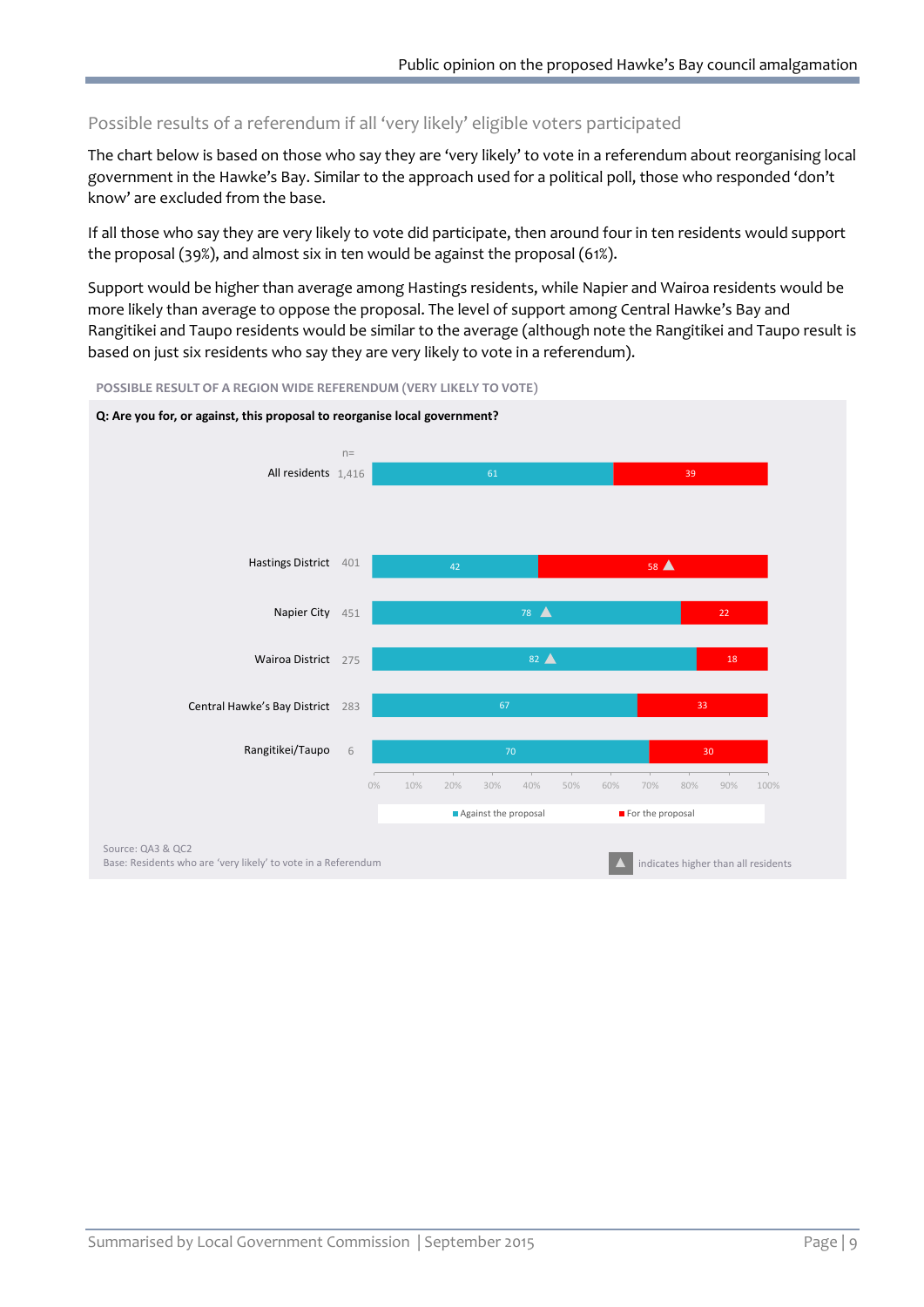#### Possible results of a referendum if all 'very likely' eligible voters participated

The chart below is based on those who say they are 'very likely' to vote in a referendum about reorganising local government in the Hawke's Bay. Similar to the approach used for a political poll, those who responded 'don't know' are excluded from the base.

If all those who say they are very likely to vote did participate, then around four in ten residents would support the proposal (39%), and almost six in ten would be against the proposal (61%).

Support would be higher than average among Hastings residents, while Napier and Wairoa residents would be more likely than average to oppose the proposal. The level of support among Central Hawke's Bay and Rangitikei and Taupo residents would be similar to the average (although note the Rangitikei and Taupo result is based on just six residents who say they are very likely to vote in a referendum).



**POSSIBLE RESULT OF A REGION WIDE REFERENDUM (VERY LIKELY TO VOTE)**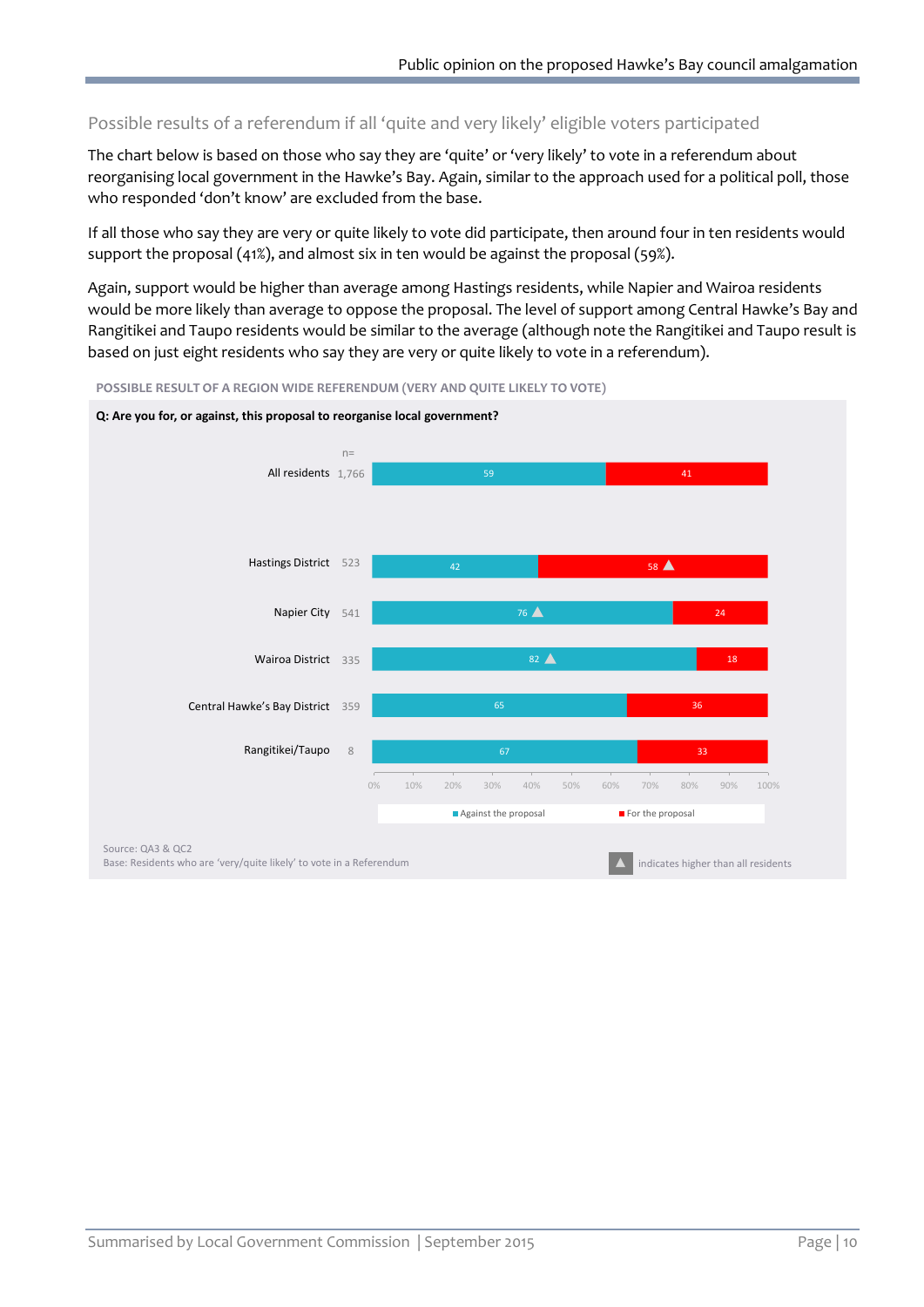#### Possible results of a referendum if all 'quite and very likely' eligible voters participated

The chart below is based on those who say they are 'quite' or 'very likely' to vote in a referendum about reorganising local government in the Hawke's Bay. Again, similar to the approach used for a political poll, those who responded 'don't know' are excluded from the base.

If all those who say they are very or quite likely to vote did participate, then around four in ten residents would support the proposal (41%), and almost six in ten would be against the proposal (59%).

Again, support would be higher than average among Hastings residents, while Napier and Wairoa residents would be more likely than average to oppose the proposal. The level of support among Central Hawke's Bay and Rangitikei and Taupo residents would be similar to the average (although note the Rangitikei and Taupo result is based on just eight residents who say they are very or quite likely to vote in a referendum).



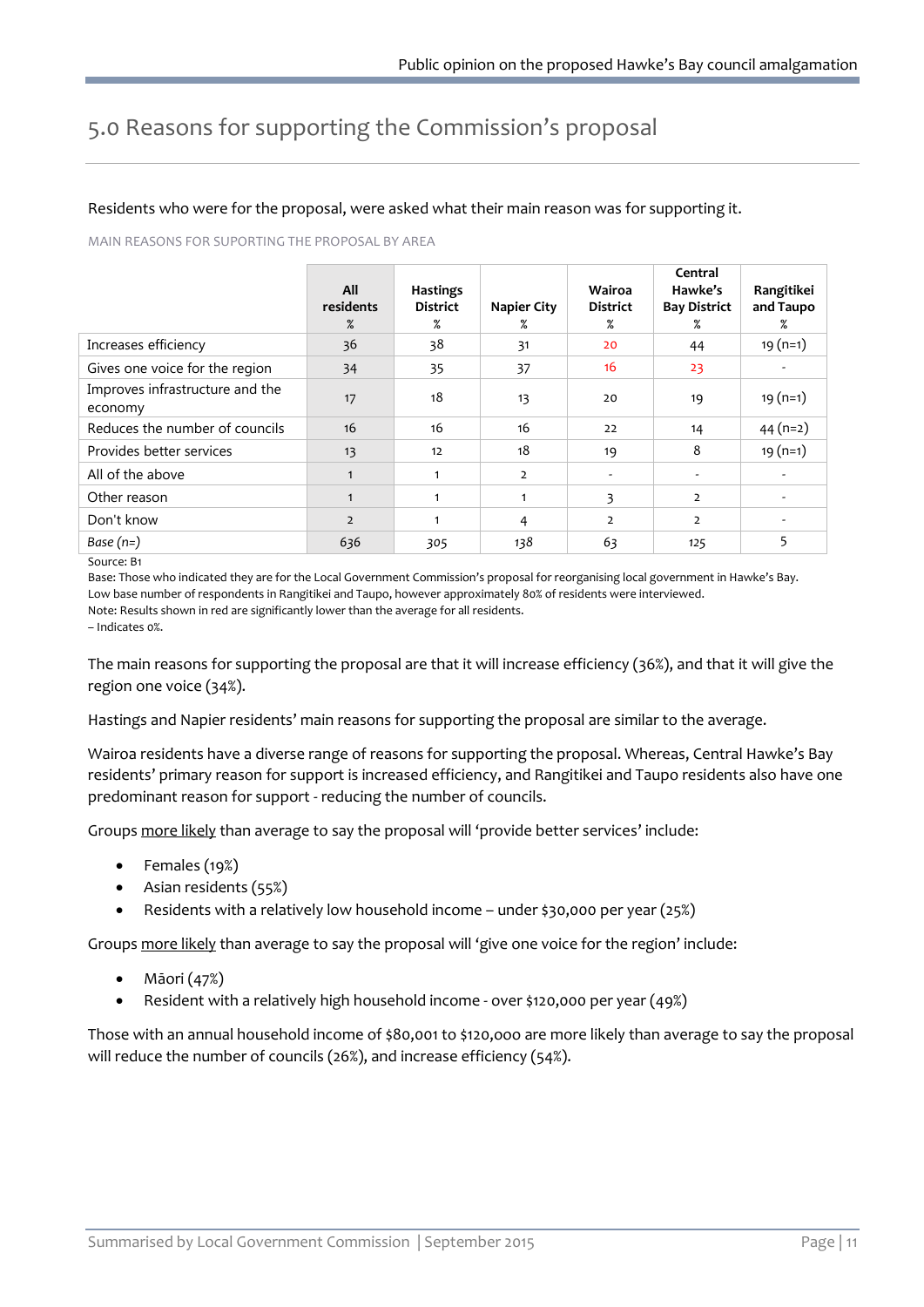# <span id="page-12-0"></span>5.0 Reasons for supporting the Commission's proposal

#### Residents who were for the proposal, were asked what their main reason was for supporting it.

MAIN REASONS FOR SUPORTING THE PROPOSAL BY AREA

|                                            | All<br>residents<br>$\%$ | <b>Hastings</b><br><b>District</b><br>% | Napier City<br>% | Wairoa<br><b>District</b><br>% | Central<br>Hawke's<br><b>Bay District</b><br>℅ | Rangitikei<br>and Taupo<br>% |
|--------------------------------------------|--------------------------|-----------------------------------------|------------------|--------------------------------|------------------------------------------------|------------------------------|
| Increases efficiency                       | 36                       | 38                                      | 31               | 20                             | 44                                             | $19(n=1)$                    |
| Gives one voice for the region             | 34                       | 35                                      | 37               | 16                             | 23                                             |                              |
| Improves infrastructure and the<br>economy | 17                       | 18                                      | 13               | 20                             | 19                                             | $19(n=1)$                    |
| Reduces the number of councils             | 16                       | 16                                      | 16               | 22                             | 14                                             | $44(n=2)$                    |
| Provides better services                   | 13                       | 12                                      | 18               | 19                             | 8                                              | $19(n=1)$                    |
| All of the above                           | $\mathbf{1}$             | 1                                       | $\overline{2}$   |                                |                                                |                              |
| Other reason                               | $\mathbf{1}$             | 1                                       | $\mathbf{1}$     | 3                              | $\overline{2}$                                 |                              |
| Don't know                                 | $\overline{2}$           | 1                                       | 4                | $\overline{2}$                 | $\overline{2}$                                 | $\overline{\phantom{a}}$     |
| Base $(n=)$                                | 636                      | 305                                     | 138              | 63                             | 125                                            | 5                            |

Source: B1

Base: Those who indicated they are for the Local Government Commission's proposal for reorganising local government in Hawke's Bay. Low base number of respondents in Rangitikei and Taupo, however approximately 80% of residents were interviewed. Note: Results shown in red are significantly lower than the average for all residents.

– Indicates 0%.

The main reasons for supporting the proposal are that it will increase efficiency (36%), and that it will give the region one voice (34%).

Hastings and Napier residents' main reasons for supporting the proposal are similar to the average.

Wairoa residents have a diverse range of reasons for supporting the proposal. Whereas, Central Hawke's Bay residents' primary reason for support is increased efficiency, and Rangitikei and Taupo residents also have one predominant reason for support - reducing the number of councils.

Groups more likely than average to say the proposal will 'provide better services' include:

- Females (19%)
- Asian residents (55%)
- Residents with a relatively low household income under \$30,000 per year  $(25%)$

Groups more likely than average to say the proposal will 'give one voice for the region' include:

- Māori (47%)
- Resident with a relatively high household income over \$120,000 per year (49%)

Those with an annual household income of \$80,001 to \$120,ooo are more likely than average to say the proposal will reduce the number of councils (26%), and increase efficiency (54%).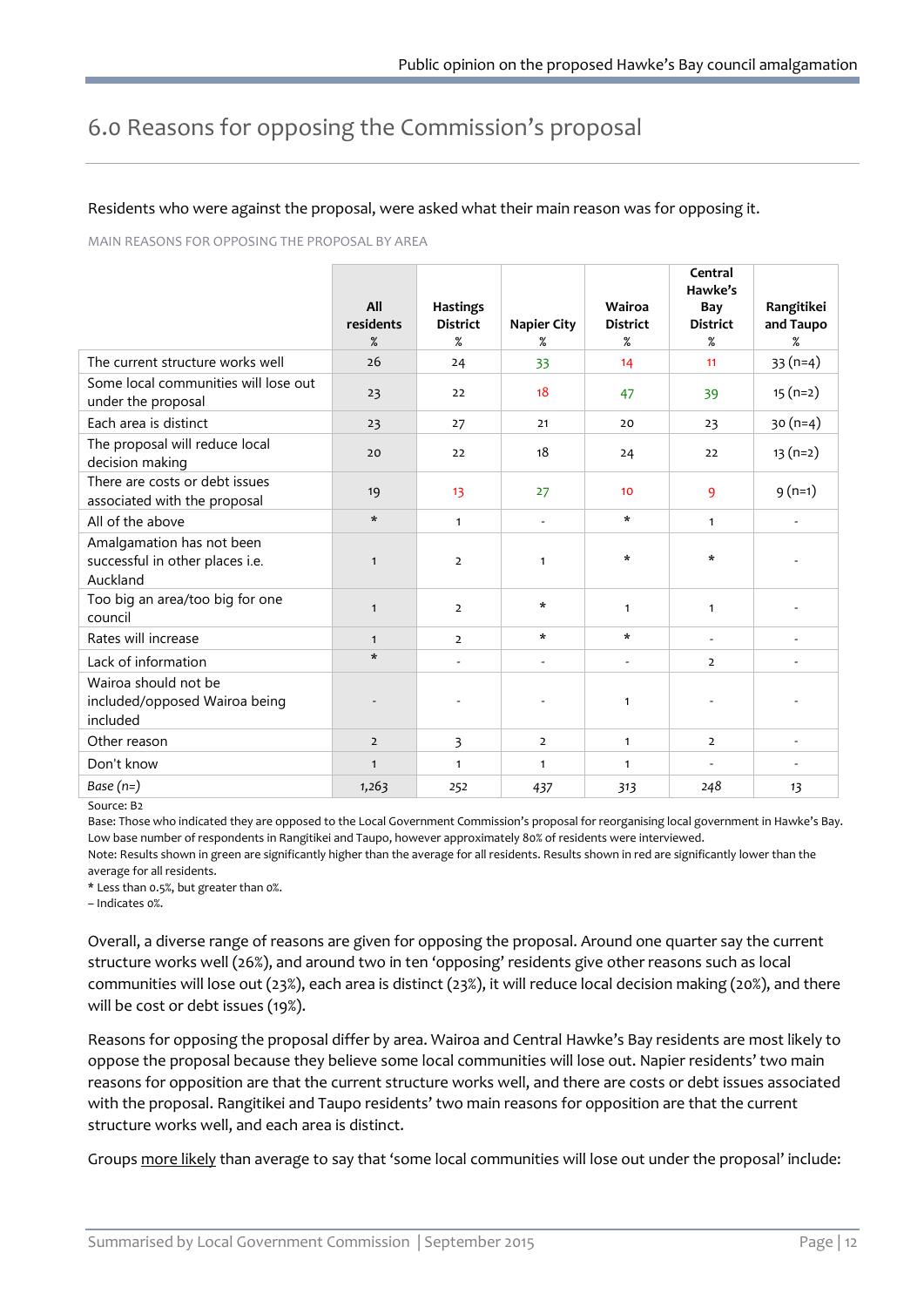# <span id="page-13-0"></span>6.0 Reasons for opposing the Commission's proposal

#### Residents who were against the proposal, were asked what their main reason was for opposing it.

MAIN REASONS FOR OPPOSING THE PROPOSAL BY AREA

|                                                                          |                  |                                    |                          |                           | Central<br>Hawke's       |                          |
|--------------------------------------------------------------------------|------------------|------------------------------------|--------------------------|---------------------------|--------------------------|--------------------------|
|                                                                          | All<br>residents | <b>Hastings</b><br><b>District</b> | <b>Napier City</b>       | Wairoa<br><b>District</b> | Bay<br><b>District</b>   | Rangitikei<br>and Taupo  |
|                                                                          | $\%$             | $\%$                               | %                        | $\%$                      | %                        | %                        |
| The current structure works well                                         | 26               | 24                                 | 33                       | 14                        | 11                       | $33(n=4)$                |
| Some local communities will lose out<br>under the proposal               | 23               | 22                                 | 18                       | 47                        | 39                       | $15(n=2)$                |
| Each area is distinct                                                    | 23               | 27                                 | 21                       | 20                        | 23                       | $30(n=4)$                |
| The proposal will reduce local<br>decision making                        | 20               | 22                                 | 18                       | 24                        | 22                       | $13(n=2)$                |
| There are costs or debt issues<br>associated with the proposal           | 19               | 13                                 | 27                       | 10 <sup>°</sup>           | 9                        | $9(n=1)$                 |
| All of the above                                                         | $\star$          | $\mathbf{1}$                       | $\overline{\phantom{a}}$ | $\star$                   | $\mathbf{1}$             | $\overline{\phantom{a}}$ |
| Amalgamation has not been<br>successful in other places i.e.<br>Auckland | $\mathbf{1}$     | $\overline{2}$                     | $\mathbf{1}$             | $\star$                   | $\star$                  |                          |
| Too big an area/too big for one<br>council                               | $\mathbf{1}$     | $\overline{2}$                     | $\star$                  | $\mathbf{1}$              | $\mathbf{1}$             |                          |
| Rates will increase                                                      | $\mathbf{1}$     | $\overline{2}$                     | $\star$                  | $\ast$                    | $\sim$                   | $\overline{\phantom{a}}$ |
| Lack of information                                                      | $\star$          |                                    | ÷,                       | $\overline{\phantom{a}}$  | $\overline{2}$           | $\overline{a}$           |
| Wairoa should not be<br>included/opposed Wairoa being<br>included        |                  |                                    |                          | $\mathbf{1}$              | ٠                        |                          |
| Other reason                                                             | $\overline{2}$   | 3                                  | $\overline{2}$           | $\mathbf{1}$              | $\overline{2}$           | $\frac{1}{2}$            |
| Don't know                                                               | $\mathbf{1}$     | $\mathbf{1}$                       | $\mathbf{1}$             | $\mathbf{1}$              | $\overline{\phantom{a}}$ | $\frac{1}{2}$            |
| Base $(n=)$                                                              | 1,263            | 252                                | 437                      | 313                       | 248                      | 13                       |

Source: B2

Base: Those who indicated they are opposed to the Local Government Commission's proposal for reorganising local government in Hawke's Bay. Low base number of respondents in Rangitikei and Taupo, however approximately 80% of residents were interviewed. Note: Results shown in green are significantly higher than the average for all residents. Results shown in red are significantly lower than the average for all residents.

\* Less than 0.5%, but greater than 0%.

– Indicates 0%.

Overall, a diverse range of reasons are given for opposing the proposal. Around one quarter say the current structure works well (26%), and around two in ten 'opposing' residents give other reasons such as local communities will lose out (23%), each area is distinct (23%), it will reduce local decision making (20%), and there will be cost or debt issues (19%).

Reasons for opposing the proposal differ by area. Wairoa and Central Hawke's Bay residents are most likely to oppose the proposal because they believe some local communities will lose out. Napier residents' two main reasons for opposition are that the current structure works well, and there are costs or debt issues associated with the proposal. Rangitikei and Taupo residents' two main reasons for opposition are that the current structure works well, and each area is distinct.

Groups more likely than average to say that 'some local communities will lose out under the proposal' include: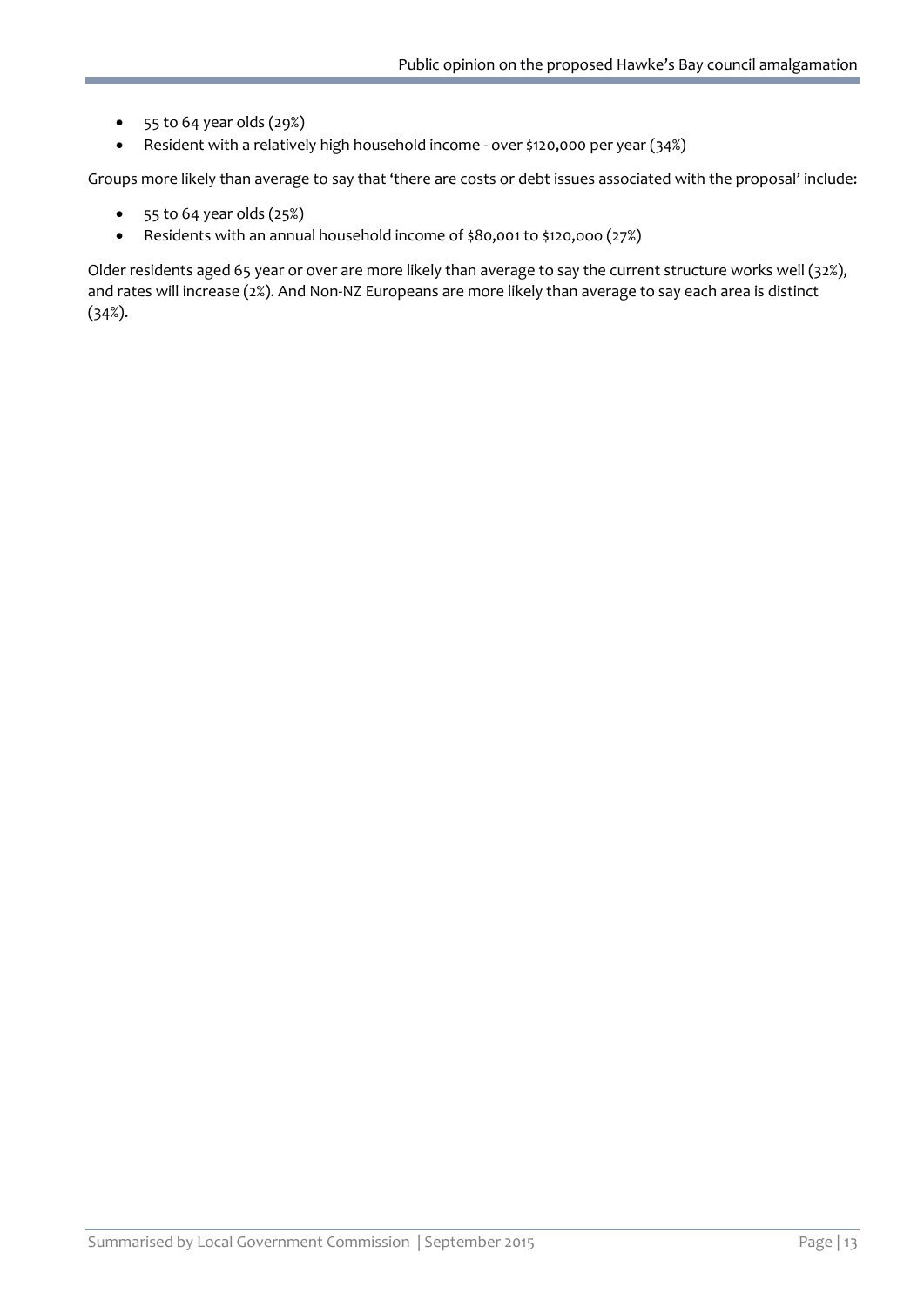- 55 to 64 year olds (29%)
- Resident with a relatively high household income over \$120,000 per year (34%)

Groups more likely than average to say that 'there are costs or debt issues associated with the proposal' include:

- $\bullet$  55 to 64 year olds  $(25%)$
- Residents with an annual household income of \$80,001 to \$120,ooo (27%)

Older residents aged 65 year or over are more likely than average to say the current structure works well (32%), and rates will increase (2%). And Non-NZ Europeans are more likely than average to say each area is distinct (34%).